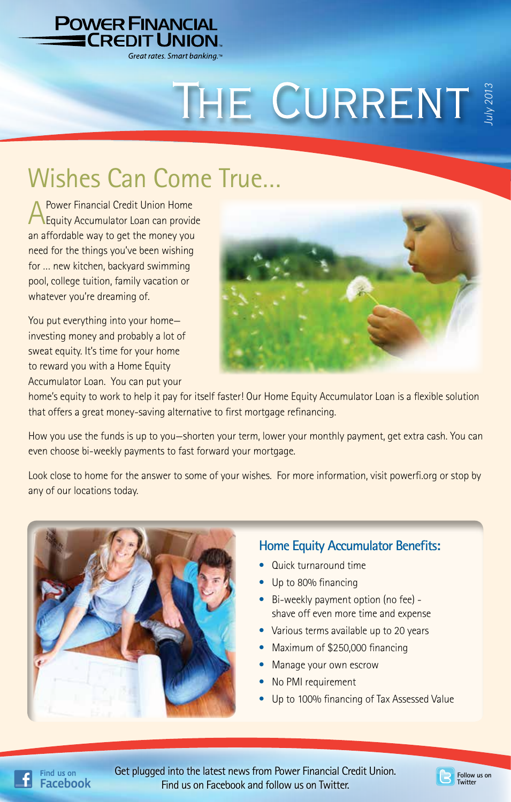

# THE CURRENT

## Wishes Can Come True…

A Power Financial Credit Union Home<br>
Equity Accumulator Loan can provide an affordable way to get the money you need for the things you've been wishing for … new kitchen, backyard swimming pool, college tuition, family vacation or whatever you're dreaming of.

You put everything into your home investing money and probably a lot of sweat equity. It's time for your home to reward you with a Home Equity Accumulator Loan. You can put your



home's equity to work to help it pay for itself faster! Our Home Equity Accumulator Loan is a flexible solution that offers a great money-saving alternative to first mortgage refinancing.

How you use the funds is up to you—shorten your term, lower your monthly payment, get extra cash. You can even choose bi-weekly payments to fast forward your mortgage.

Look close to home for the answer to some of your wishes. For more information, visit powerfi.org or stop by any of our locations today.



#### **Home Equity Accumulator Benefits:**

- Quick turnaround time
- Up to 80% financing
- Bi-weekly payment option (no fee) shave off even more time and expense
- Various terms available up to 20 years
- Maximum of \$250,000 financing
- Manage your own escrow
- No PMI requirement
- Up to 100% financing of Tax Assessed Value

Get plugged into the latest news from Power Financial Credit Union. Find us on Facebook and follow us on Twitter.

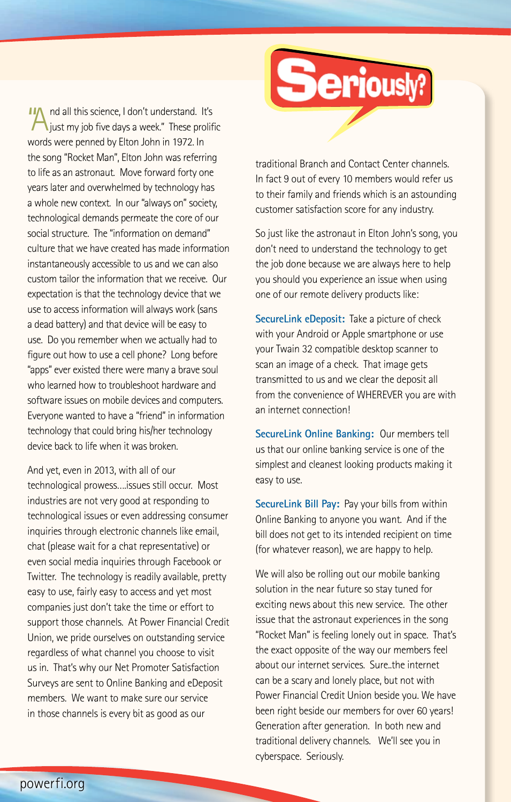IIA nd all this science, I don't understand. It's  $\lambda$  just my job five days a week." These prolific words were penned by Elton John in 1972. In the song "Rocket Man", Elton John was referring to life as an astronaut. Move forward forty one years later and overwhelmed by technology has a whole new context. In our "always on" society, technological demands permeate the core of our social structure. The "information on demand" culture that we have created has made information instantaneously accessible to us and we can also custom tailor the information that we receive. Our expectation is that the technology device that we use to access information will always work (sans a dead battery) and that device will be easy to use. Do you remember when we actually had to figure out how to use a cell phone? Long before "apps" ever existed there were many a brave soul who learned how to troubleshoot hardware and software issues on mobile devices and computers. Everyone wanted to have a "friend" in information technology that could bring his/her technology device back to life when it was broken.

And yet, even in 2013, with all of our technological prowess….issues still occur. Most industries are not very good at responding to technological issues or even addressing consumer inquiries through electronic channels like email, chat (please wait for a chat representative) or even social media inquiries through Facebook or Twitter. The technology is readily available, pretty easy to use, fairly easy to access and yet most companies just don't take the time or effort to support those channels. At Power Financial Credit Union, we pride ourselves on outstanding service regardless of what channel you choose to visit us in. That's why our Net Promoter Satisfaction Surveys are sent to Online Banking and eDeposit members. We want to make sure our service in those channels is every bit as good as our

traditional Branch and Contact Center channels. In fact 9 out of every 10 members would refer us to their family and friends which is an astounding customer satisfaction score for any industry.

**Seriously?** 

So just like the astronaut in Elton John's song, you don't need to understand the technology to get the job done because we are always here to help you should you experience an issue when using one of our remote delivery products like:

**SecureLink eDeposit:** Take a picture of check with your Android or Apple smartphone or use your Twain 32 compatible desktop scanner to scan an image of a check. That image gets transmitted to us and we clear the deposit all from the convenience of WHEREVER you are with an internet connection!

**SecureLink Online Banking:** Our members tell us that our online banking service is one of the simplest and cleanest looking products making it easy to use.

**SecureLink Bill Pay:** Pay your bills from within Online Banking to anyone you want. And if the bill does not get to its intended recipient on time (for whatever reason), we are happy to help.

We will also be rolling out our mobile banking solution in the near future so stay tuned for exciting news about this new service. The other issue that the astronaut experiences in the song "Rocket Man" is feeling lonely out in space. That's the exact opposite of the way our members feel about our internet services. Sure..the internet can be a scary and lonely place, but not with Power Financial Credit Union beside you. We have been right beside our members for over 60 years! Generation after generation. In both new and traditional delivery channels. We'll see you in cyberspace. Seriously.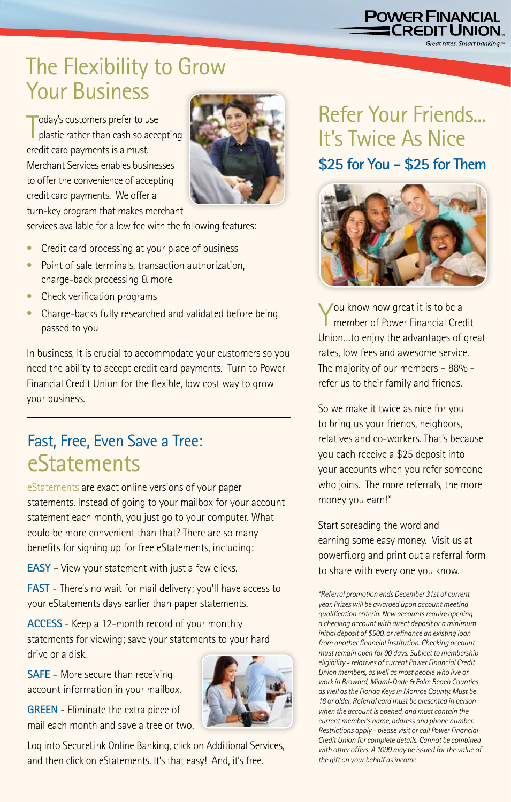## **POWER FINANCIAL**<br><u>- CREDIT UNION</u>

Great rates. Smart bankina.™

## The Flexibility to Grow Your Business

T oday's customers prefer to use plastic rather than cash so accepting credit card payments is a must. Merchant Services enables businesses to offer the convenience of accepting credit card payments. We offer a turn-key program that makes merchant



services available for a low fee with the following features:

- Credit card processing at your place of business
- Point of sale terminals, transaction authorization, charge-back processing & more
- Check verification programs
- Charge-backs fully researched and validated before being passed to you

In business, it is crucial to accommodate your customers so you need the ability to accept credit card payments. Turn to Power Financial Credit Union for the flexible, low cost way to grow your business.

### Fast, Free, Even Save a Tree: **eStatements**

eStatements are exact online versions of your paper statements. Instead of going to your mailbox for your account statement each month, you just go to your computer. What could be more convenient than that? There are so many benefits for signing up for free eStatements, including:

**EASY** – View your statement with just a few clicks.

**FAST** - There's no wait for mail delivery; you'll have access to your eStatements days earlier than paper statements.

**ACCESS** - Keep a 12-month record of your monthly statements for viewing; save your statements to your hard drive or a disk.

**SAFE** – More secure than receiving account information in your mailbox.

**GREEN** - Eliminate the extra piece of mail each month and save a tree or two.



## Refer Your Friends... It's Twice As Nice **\$25 for You - \$25 for Them**



You know how great it is to be a member of Power Financial Credit Union…to enjoy the advantages of great rates, low fees and awesome service. The majority of our members – 88% refer us to their family and friends.

So we make it twice as nice for you to bring us your friends, neighbors, relatives and co-workers. That's because you each receive a \$25 deposit into your accounts when you refer someone who joins. The more referrals, the more money you earn!\*

Start spreading the word and earning some easy money. Visit us at powerfi.org and print out a referral form to share with every one you know.

*\*Referral promotion ends December 31st of current year. Prizes will be awarded upon account meeting qualification criteria. New accounts require opening a checking account with direct deposit or a minimum initial deposit of \$500, or refinance an existing loan from another financial institution. Checking account must remain open for 90 days. Subject to membership eligibility - relatives of current Power Financial Credit Union members, as well as most people who live or work in Broward, Miami-Dade & Palm Beach Counties as well as the Florida Keys in Monroe County. Must be 18 or older. Referral card must be presented in person when the account is opened, and must contain the current member's name, address and phone number. Restrictions apply - please visit or call Power Financial Credit Union for complete details. Cannot be combined with other offers. A 1099 may be issued for the value of the gift on your behalf as income.*